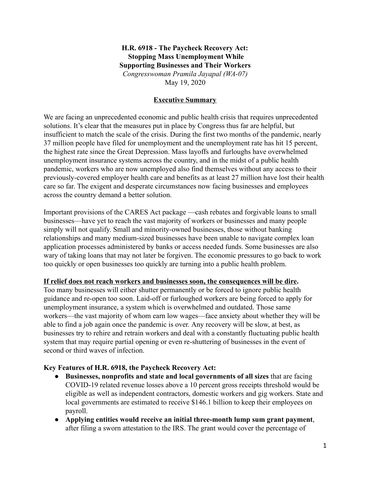# **H.R. 6918 - The Paycheck Recovery Act: Stopping Mass Unemployment While Supporting Businesses and Their Workers**  *Congresswoman Pramila Jayapal (WA-07)*  May 19, 2020

# **Executive Summary**

We are facing an unprecedented economic and public health crisis that requires unprecedented solutions. It's clear that the measures put in place by Congress thus far are helpful, but insufficient to match the scale of the crisis. During the first two months of the pandemic, nearly 37 million people have filed for unemployment and the unemployment rate has hit 15 percent, the highest rate since the Great Depression. Mass layoffs and furloughs have overwhelmed unemployment insurance systems across the country, and in the midst of a public health pandemic, workers who are now unemployed also find themselves without any access to their previously-covered employer health care and benefits as at least 27 million have lost their health care so far. The exigent and desperate circumstances now facing businesses and employees across the country demand a better solution.

Important provisions of the CARES Act package —cash rebates and forgivable loans to small businesses—have yet to reach the vast majority of workers or businesses and many people simply will not qualify. Small and minority-owned businesses, those without banking relationships and many medium-sized businesses have been unable to navigate complex loan application processes administered by banks or access needed funds. Some businesses are also wary of taking loans that may not later be forgiven. The economic pressures to go back to work too quickly or open businesses too quickly are turning into a public health problem.

### **If relief does not reach workers and businesses soon, the consequences will be dire .**

Too many businesses will either shutter permanently or be forced to ignore public health guidance and re-open too soon. Laid-off or furloughed workers are being forced to apply for unemployment insurance, a system which is overwhelmed and outdated. Those same workers—the vast majority of whom earn low wages—face anxiety about whether they will be able to find a job again once the pandemic is over. Any recovery will be slow, at best, as businesses try to rehire and retrain workers and deal with a constantly fluctuating public health system that may require partial opening or even re-shuttering of businesses in the event of second or third waves of infection.

### **Key Features of H.R. 6918, the Paycheck Recovery Act:**

- **Businesses, nonprofits and state and local governments of all sizes** that are facing COVID-19 related revenue losses above a 10 percent gross receipts threshold would be eligible as well as independent contractors, domestic workers and gig workers. State and local governments are estimated to receive \$146.1 billion to keep their employees on payroll.
- **Applying entities would receive an initial three-month lump sum grant payment** , after filing a sworn attestation to the IRS. The grant would cover the percentage of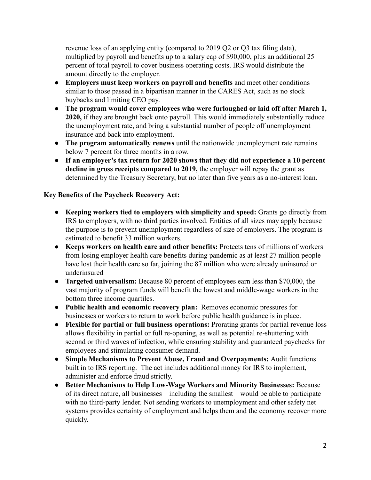revenue loss of an applying entity (compared to 2019 Q2 or Q3 tax filing data), multiplied by payroll and benefits up to a salary cap of \$90,000, plus an additional 25 percent of total payroll to cover business operating costs. IRS would distribute the amount directly to the employer.

- **Employers must keep workers on payroll and benefits** and meet other conditions similar to those passed in a bipartisan manner in the CARES Act, such as no stock buybacks and limiting CEO pay.
- **The program would cover employees who were furloughed or laid off after March 1, 2020,** if they are brought back onto payroll. This would immediately substantially reduce the unemployment rate, and bring a substantial number of people off unemployment insurance and back into employment.
- **The program automatically renews** until the nationwide unemployment rate remains below 7 percent for three months in a row.
- *●* **If an employer's tax return for 2020 shows that they did not experience a 10 percent decline in gross receipts compared to 2019,** the employer will repay the grant as determined by the Treasury Secretary, but no later than five years as a no-interest loan.

# **Key Benefits of the Paycheck Recovery Act:**

- *●* **Keeping workers tied to employers with simplicity and speed:** Grants go directly from IRS to employers, with no third parties involved. Entities of all sizes may apply because the purpose is to prevent unemployment regardless of size of employers. The program is estimated to benefit 33 million workers.
- **Keeps workers on health care and other benefits:** Protects tens of millions of workers from losing employer health care benefits during pandemic as at least 27 million people have lost their health care so far, joining the 87 million who were already uninsured or underinsured
- **Targeted universalism:** Because 80 percent of employees earn less than \$70,000, the vast majority of program funds will benefit the lowest and middle-wage workers in the bottom three income quartiles.
- **Public health and economic recovery plan:** Removes economic pressures for businesses or workers to return to work before public health guidance is in place.
- **Flexible for partial or full business operations:** Prorating grants for partial revenue loss allows flexibility in partial or full re-opening, as well as potential re-shuttering with second or third waves of infection, while ensuring stability and guaranteed paychecks for employees and stimulating consumer demand.
- **● Simple Mechanisms to Prevent Abuse, Fraud and Overpayments:** Audit functions built in to IRS reporting. The act includes additional money for IRS to implement, administer and enforce fraud strictly.
- **● Better Mechanisms to Help Low-Wage Workers and Minority Businesses:** Because of its direct nature, all businesses—including the smallest—would be able to participate with no third-party lender. Not sending workers to unemployment and other safety net systems provides certainty of employment and helps them and the economy recover more quickly.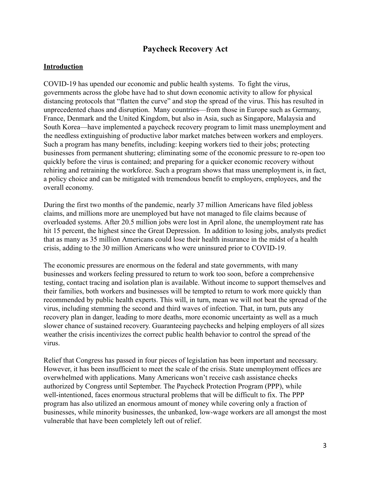# **Paycheck Recovery Act**

### **Introduction**

COVID-19 has upended our economic and public health systems. To fight the virus, governments across the globe have had to shut down economic activity to allow for physical distancing protocols that "flatten the curve" and stop the spread of the virus. This has resulted in unprecedented chaos and disruption. Many countries—from those in Europe such as Germany, France, Denmark and the United Kingdom, but also in Asia, such as Singapore, Malaysia and South Korea—have implemented a paycheck recovery program to limit mass unemployment and the needless extinguishing of productive labor market matches between workers and employers. Such a program has many benefits, including: keeping workers tied to their jobs; protecting businesses from permanent shuttering; eliminating some of the economic pressure to re-open too quickly before the virus is contained; and preparing for a quicker economic recovery without rehiring and retraining the workforce. Such a program shows that mass unemployment is, in fact, a policy choice and can be mitigated with tremendous benefit to employers, employees, and the overall economy.

During the first two months of the pandemic, nearly 37 million Americans have filed jobless claims , and millions more are unemployed but have not managed to file claims because of overloaded systems. After 20.5 million jobs were lost in April alone, the unemployment rate has hit 15 percent, the highest since the Great Depression. In addition to losing jobs, analysts predict that as many as 35 million Americans could lose their health insurance in the midst of a health crisis, adding to the 30 million Americans who were uninsured prior to COVID-19.

The economic pressures are enormous on the federal and state governments, with many businesses and workers feeling pressured to return to work too soon, before a comprehensive testing, contact tracing and isolation plan is available. Without income to support themselves and their families, both workers and businesses will be tempted to return to work more quickly than recommended by public health experts. This will, in turn, mean we will not beat the spread of the virus, including stemming the second and third waves of infection. That, in turn, puts any recovery plan in danger, leading to more deaths, more economic uncertainty as well as a much slower chance of sustained recovery. Guaranteeing paychecks and helping employers of all sizes weather the crisis incentivizes the correct public health behavior to control the spread of the virus.

Relief that Congress has passed in four pieces of legislation has been important and necessary. However, it has been insufficient to meet the scale of the crisis. State unemployment offices are overwhelmed with applications. Many Americans won't receive cash assistance checks authorized by Congress until September. The Paycheck Protection Program (PPP), while well-intentioned, faces enormous structural problems that will be difficult to fix. The PPP program has also utilized an enormous amount of money while covering only a fraction of businesses, while minority businesses, the unbanked, low-wage workers are all amongst the most vulnerable that have been completely left out of relief.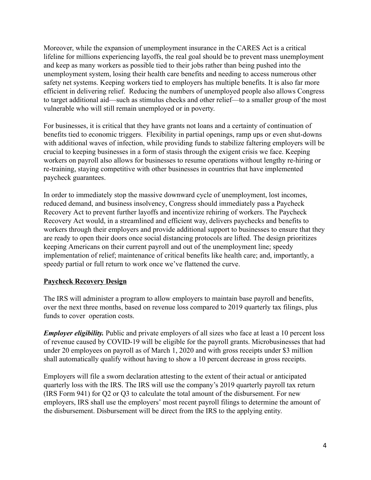Moreover, while the expansion of unemployment insurance in the CARES Act is a critical lifeline for millions experiencing layoffs, the real goal should be to prevent mass unemployment and keep as many workers as possible tied to their jobs rather than being pushed into the unemployment system, losing their health care benefits and needing to access numerous other safety net systems. Keeping workers tied to employers has multiple benefits. It is also far more efficient in delivering relief. Reducing the numbers of unemployed people also allows Congress to target additional aid—such as stimulus checks and other relief—to a smaller group of the most vulnerable who will still remain unemployed or in poverty.

For businesses, it is critical that they have grants not loans and a certainty of continuation of benefits tied to economic triggers. Flexibility in partial openings, ramp ups or even shut-downs with additional waves of infection, while providing funds to stabilize faltering employers will be crucial to keeping businesses in a form of stasis through the exigent crisis we face. Keeping workers on payroll also allows for businesses to resume operations without lengthy re-hiring or re-training, staying competitive with other businesses in countries that have implemented paycheck guarantees.

In order to immediately stop the massive downward cycle of unemployment, lost incomes, reduced demand, and business insolvency , Congress should immediately pass a Paycheck Recovery Act to prevent further layoffs and incentivize rehiring of workers. The Paycheck Recovery Act would, in a streamlined and efficient way, delivers paychecks and benefits to workers through their employers and provide additional support to businesses to ensure that they are ready to open their doors once social distancing protocols are lifted. The design prioritizes keeping Americans on their current payroll and out of the unemployment line; speedy implementation of relief; maintenance of critical benefits like health care; and, importantly, a speedy partial or full return to work once we've flattened the curve.

# **Paycheck Recovery Design**

The IRS will administer a program to allow employers to maintain base payroll and benefits, over the next three months, based on revenue loss compared to 2019 quarterly tax filings, plus funds to cover operation costs.

*Employer eligibility.* Public and private employers of all sizes who face at least a 10 percent loss of revenue caused by COVID-19 will be eligible for the payroll grants. Microbusinesses that had under 20 employees on payroll as of March 1, 2020 and with gross receipts under \$3 million shall automatically qualify without having to show a 10 percent decrease in gross receipts.

Employers will file a sworn declaration attesting to the extent of their actual or anticipated quarterly loss with the IRS. The IRS will use the company's 2019 quarterly payroll tax return (IRS Form 941) for Q2 or Q3 to calculate the total amount of the disbursement. For new employers, IRS shall use the employers' most recent payroll filings to determine the amount of the disbursement. Disbursement will be direct from the IRS to the applying entity.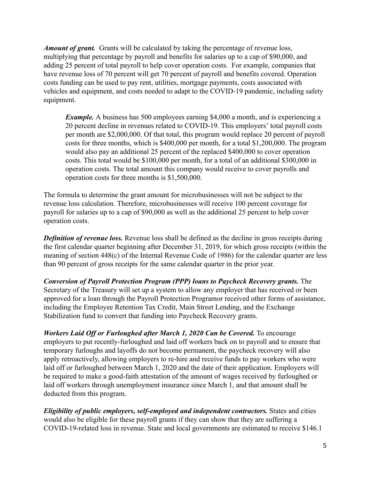*Amount of grant.* Grants will be calculated by taking the percentage of revenue loss, multiplying that percentage by payroll and benefits for salaries up to a cap of \$90,000, and adding 25 percent of total payroll to help cover operation costs. For example, companies that have revenue loss of 70 percent will get 70 percent of payroll and benefits covered. Operation costs funding can be used to pay rent, utilities, mortgage payments, costs associated with vehicles and equipment, and costs needed to adapt to the COVID-19 pandemic, including safety equipment.

*Example.* A business has 500 employees earning \$4,000 a month, and is experiencing a 20 percent decline in revenues related to COVID-19. This employers' total payroll costs per month are \$2,000,000. Of that total, this program would replace 20 percent of payroll costs for three months, which is \$400,000 per month, for a total \$1,200,000. The program would also pay an additional 25 percent of the replaced \$400,000 to cover operation costs. This total would be \$100,000 per month, for a total of an additional \$300,000 in operation costs. The total amount this company would receive to cover payrolls and operation costs for three months is \$1,500,000.

The formula to determine the grant amount for microbusinesses will not be subject to the revenue loss calculation. Therefore, microbusinesses will receive 100 percent coverage for payroll for salaries up to a cap of \$90,000 as well as the additional 25 percent to help cover operation costs.

*Definition of revenue loss.* Revenue loss shall be defined as the decline in gross receipts during the first calendar quarter beginning after December 31, 2019, for which gross receipts (within the meaning of section 448(c) of the Internal Revenue Code of 1986) for the calendar quarter are less than 90 percent of gross receipts for the same calendar quarter in the prior year.

*Conversion of Payroll Protection Program (PPP) loans to Paycheck Recovery grants.* The Secretary of the Treasury will set up a system to allow any employer that has received or been approved for a loan through the Payroll Protection Programor received other forms of assistance, including the Employee Retention Tax Credit, Main Street Lending, and the Exchange Stabilization fund to convert that funding into Paycheck Recovery grants.

*Workers Laid Off or Furloughed after March 1, 2020 Can be Covered. To encourage* employers to put recently-furloughed and laid off workers back on to payroll and to ensure that temporary furloughs and layoffs do not become permanent, the paycheck recovery will also apply retroactively, allowing employers to re-hire and receive funds to pay workers who were laid off or furloughed between March 1, 2020 and the date of their application. Employers will be required to make a good-faith attestation of the amount of wages received by furloughed or laid off workers through unemployment insurance since March 1, and that amount shall be deducted from this program.

*Eligibility of public employers, self-employed and independent contractors. States and cities* would also be eligible for these payroll grants if they can show that they are suffering a COVID-19-related loss in revenue. State and local governments are estimated to receive \$146.1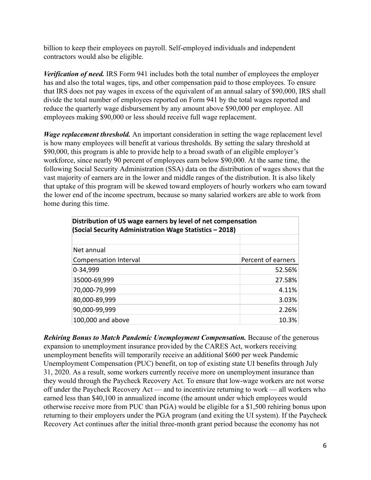billion to keep their employees on payroll. Self-employed individuals and independent contractors would also be eligible.

*Verification of need.* IRS Form 941 includes both the total number of employees the employer has and also the total wages, tips, and other compensation paid to those employees. To ensure that IRS does not pay wages in excess of the equivalent of an annual salary of \$90,000, IRS shall divide the total number of employees reported on Form 941 by the total wages reported and reduce the quarterly wage disbursement by any amount above \$90,000 per employee. All employees making \$90,000 or less should receive full wage replacement.

*Wage replacement threshold.* An important consideration in setting the wage replacement level is how many employees will benefit at various thresholds. By setting the salary threshold at \$90,000, this program is able to provide help to a broad swath of an eligible employer's workforce, since nearly 90 percent of employees earn below \$90,000. At the same time, the following Social Security Administration (SSA) data on the distribution of wages shows that the vast majority of earners are in the lower and middle ranges of the distribution. It is also likely that uptake of this program will be skewed toward employers of hourly workers who earn toward the lower end of the income spectrum, because so many salaried workers are able to work from home during this time.

| Distribution of US wage earners by level of net compensation<br>(Social Security Administration Wage Statistics - 2018) |                    |
|-------------------------------------------------------------------------------------------------------------------------|--------------------|
|                                                                                                                         |                    |
| Net annual                                                                                                              | Percent of earners |
| <b>Compensation Interval</b>                                                                                            |                    |
| 0-34,999                                                                                                                | 52.56%             |
| 35000-69,999                                                                                                            | 27.58%             |
| 70,000-79,999                                                                                                           | 4.11%              |
| 80,000-89,999                                                                                                           | 3.03%              |
| 90,000-99,999                                                                                                           | 2.26%              |
| 100,000 and above                                                                                                       | 10.3%              |

**Rehiring Bonus to Match Pandemic Unemployment Compensation.** Because of the generous expansion to unemployment insurance provided by the CARES Act, workers receiving unemployment benefits will temporarily receive an additional \$600 per week Pandemic Unemployment Compensation (PUC) benefit, on top of existing state UI benefits through July 31, 2020. As a result, some workers currently receive more on unemployment insurance than they would through the Paycheck Recovery Act. To ensure that low-wage workers are not worse off under the Paycheck Recovery Act — and to incentivize returning to work — all workers who earned less than \$40,100 in annualized income (the amount under which employees would otherwise receive more from PUC than PGA) would be eligible for a \$1,500 rehiring bonus upon returning to their employers under the PGA program (and exiting the UI system). If the Paycheck Recovery Act continues after the initial three-month grant period because the economy has not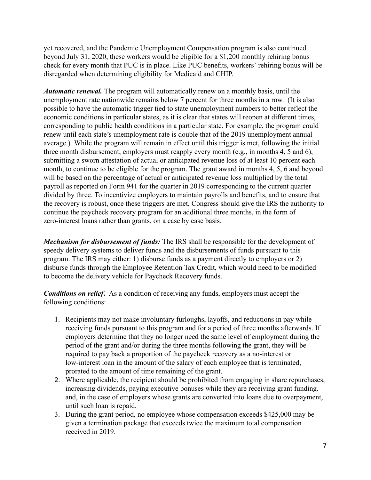yet recovered, and the Pandemic Unemployment Compensation program is also continued beyond July 31, 2020, these workers would be eligible for a \$1,200 monthly rehiring bonus check for every month that PUC is in place. Like PUC benefits, workers' rehiring bonus will be disregarded when determining eligibility for Medicaid and CHIP.

*Automatic renewal.* The program will automatically renew on a monthly basis, until the unemployment rate nationwide remains below 7 percent for three months in a row. (It is also possible to have the automatic trigger tied to state unemployment numbers to better reflect the economic conditions in particular states, as it is clear that states will reopen at different times, corresponding to public health conditions in a particular state. For example, the program could renew until each state's unemployment rate is double that of the 2019 unemployment annual average.) While the program will remain in effect until this trigger is met, following the initial three month disbursement, employers must reapply every month (e.g., in months 4, 5 and 6), submitting a sworn attestation of actual or anticipated revenue loss of at least 10 percent each month, to continue to be eligible for the program. The grant award in months 4, 5, 6 and beyond will be based on the percentage of actual or anticipated revenue loss multiplied by the total payroll as reported on Form 941 for the quarter in 2019 corresponding to the current quarter divided by three. To incentivize employers to maintain payrolls and benefits, and to ensure that the recovery is robust, once these triggers are met, Congress should give the IRS the authority to continue the paycheck recovery program for an additional three months, in the form of zero-interest loans rather than grants, on a case by case basis.

*Mechanism for disbursement of funds:* The IRS shall be responsible for the development of speedy delivery systems to deliver funds and the disbursements of funds pursuant to this program. The IRS may either: 1) disburse funds as a payment directly to employers or 2) disburse funds through the Employee Retention Tax Credit, which would need to be modified to become the delivery vehicle for Paycheck Recovery funds.

*Conditions on relief.* As a condition of receiving any funds, employers must accept the following conditions:

- 1. Recipients may not make involuntary furloughs, layoffs, and reductions in pay while receiving funds pursuant to this program and for a period of three months afterwards. If employers determine that they no longer need the same level of employment during the period of the grant and/or during the three months following the grant, they will be required to pay back a proportion of the paycheck recovery as a no-interest or low-interest loan in the amount of the salary of each employee that is terminated, prorated to the amount of time remaining of the grant.
- 2. Where applicable, the recipient should be prohibited from engaging in share repurchases, increasing dividends, paying executive bonuses while they are receiving grant funding. and, in the case of employers whose grants are converted into loans due to overpayment, until such loan is repaid.
- 3. During the grant period, no employee whose compensation exceeds \$425,000 may be given a termination package that exceeds twice the maximum total compensation received in 2019.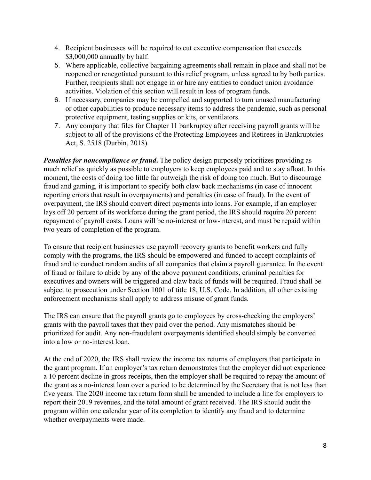- 4. Recipient businesses will be required to cut executive compensation that exceeds \$3,000,000 annually by half.
- 5. Where applicable, collective bargaining agreements shall remain in place and shall not be reopened or renegotiated pursuant to this relief program, unless agreed to by both parties. Further, recipients shall not engage in or hire any entities to conduct union avoidance activities. Violation of this section will result in loss of program funds.
- 6. If necessary, companies may be compelled and supported to turn unused manufacturing or other capabilities to produce necessary items to address the pandemic, such as personal protective equipment, testing supplies or kits, or ventilators.
- 7. Any company that files for Chapter 11 bankruptcy after receiving payroll grants will be subject to all of the provisions of the Protecting Employees and Retirees in Bankruptcies Act, S. 2518 (Durbin, 2018).

*Penalties for noncompliance or fraud.* The policy design purposely prioritizes providing as much relief as quickly as possible to employers to keep employees paid and to stay afloat. In this moment, the costs of doing too little far outweigh the risk of doing too much. But to discourage fraud and gaming, it is important to specify both claw back mechanisms (in case of innocent reporting errors that result in overpayments) and penalties (in case of fraud). In the event of overpayment, the IRS should convert direct payments into loans. For example, if an employer lays off 20 percent of its workforce during the grant period, the IRS should require 20 percent repayment of payroll costs. Loans will be no-interest or low-interest, and must be repaid within two years of completion of the program.

To ensure that recipient businesses use payroll recovery grants to benefit workers and fully comply with the programs, the IRS should be empowered and funded to accept complaints of fraud and to conduct random audits of all companies that claim a payroll guarantee. In the event of fraud or failure to abide by any of the above payment conditions, criminal penalties for executives and owners will be triggered and claw back of funds will be required. Fraud shall be subject to prosecution under Section 1001 of title 18, U.S. Code. In addition, all other existing enforcement mechanisms shall apply to address misuse of grant funds.

The IRS can ensure that the payroll grants go to employees by cross-checking the employers' grants with the payroll taxes that they paid over the period. Any mismatches should be prioritized for audit. Any non-fraudulent overpayments identified should simply be converted into a low or no-interest loan.

At the end of 2020, the IRS shall review the income tax returns of employers that participate in the grant program. If an employer's tax return demonstrates that the employer did not experience a 10 percent decline in gross receipts, then the employer shall be required to repay the amount of the grant as a no-interest loan over a period to be determined by the Secretary that is not less than five years. The 2020 income tax return form shall be amended to include a line for employers to report their 2019 revenues, and the total amount of grant received. The IRS should audit the program within one calendar year of its completion to identify any fraud and to determine whether overpayments were made.